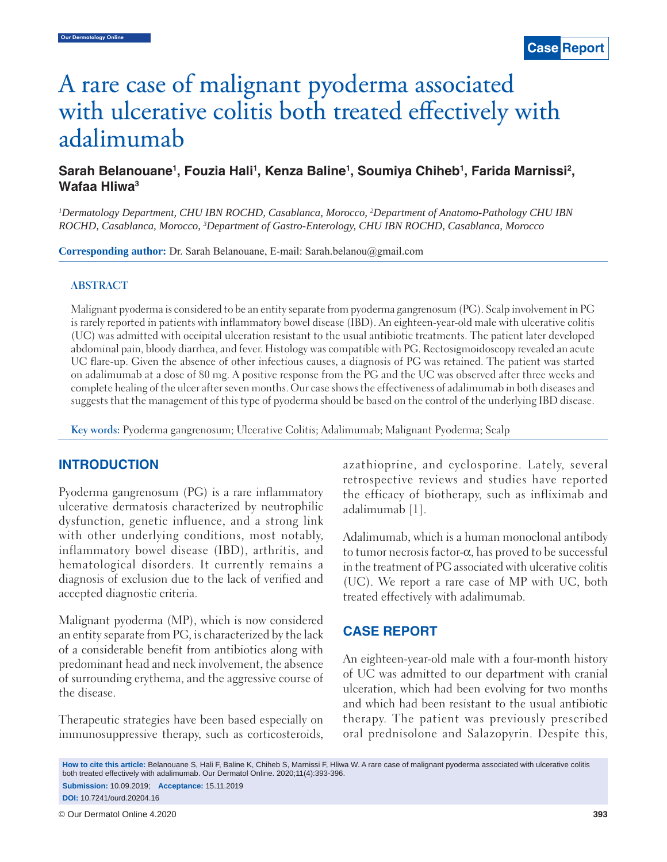# A rare case of malignant pyoderma associated with ulcerative colitis both treated effectively with adalimumab

## Sarah Belanouane<sup>1</sup>, Fouzia Hali<sup>1</sup>, Kenza Baline<sup>1</sup>, Soumiya Chiheb<sup>1</sup>, Farida Marnissi<sup>2</sup>, **Wafaa Hliwa3**

*1 Dermatology Department, CHU IBN ROCHD, Casablanca, Morocco, 2 Department of Anatomo-Pathology CHU IBN ROCHD, Casablanca, Morocco, 3 Department of Gastro-Enterology, CHU IBN ROCHD, Casablanca, Morocco*

**Corresponding author:** Dr. Sarah Belanouane, E-mail: Sarah.belanou@gmail.com

#### **ABSTRACT**

Malignant pyoderma is considered to be an entity separate from pyoderma gangrenosum (PG). Scalp involvement in PG is rarely reported in patients with inflammatory bowel disease (IBD). An eighteen-year-old male with ulcerative colitis (UC) was admitted with occipital ulceration resistant to the usual antibiotic treatments. The patient later developed abdominal pain, bloody diarrhea, and fever. Histology was compatible with PG. Rectosigmoidoscopy revealed an acute UC flare-up. Given the absence of other infectious causes, a diagnosis of PG was retained. The patient was started on adalimumab at a dose of 80 mg. A positive response from the PG and the UC was observed after three weeks and complete healing of the ulcer after seven months. Our case shows the effectiveness of adalimumab in both diseases and suggests that the management of this type of pyoderma should be based on the control of the underlying IBD disease.

**Key words:** Pyoderma gangrenosum; Ulcerative Colitis; Adalimumab; Malignant Pyoderma; Scalp

#### **INTRODUCTION**

Pyoderma gangrenosum (PG) is a rare inflammatory ulcerative dermatosis characterized by neutrophilic dysfunction, genetic influence, and a strong link with other underlying conditions, most notably, inflammatory bowel disease (IBD), arthritis, and hematological disorders. It currently remains a diagnosis of exclusion due to the lack of verified and accepted diagnostic criteria.

Malignant pyoderma (MP), which is now considered an entity separate from PG, is characterized by the lack of a considerable benefit from antibiotics along with predominant head and neck involvement, the absence of surrounding erythema, and the aggressive course of the disease.

Therapeutic strategies have been based especially on immunosuppressive therapy, such as corticosteroids, azathioprine, and cyclosporine. Lately, several retrospective reviews and studies have reported the efficacy of biotherapy, such as infliximab and adalimumab [1].

Adalimumab, which is a human monoclonal antibody to tumor necrosis factor-α, has proved to be successful in the treatment of PG associated with ulcerative colitis (UC). We report a rare case of MP with UC, both treated effectively with adalimumab.

## **CASE REPORT**

An eighteen-year-old male with a four-month history of UC was admitted to our department with cranial ulceration, which had been evolving for two months and which had been resistant to the usual antibiotic therapy. The patient was previously prescribed oral prednisolone and Salazopyrin. Despite this,

**How to cite this article:** Belanouane S, Hali F, Baline K, Chiheb S, Marnissi F, Hliwa W. A rare case of malignant pyoderma associated with ulcerative colitis both treated effectively with adalimumab. Our Dermatol Online. 2020;11(4):393-396. **Submission:** 10.09.2019; **Acceptance:** 15.11.2019 **DOI:** 10.7241/ourd.20204.16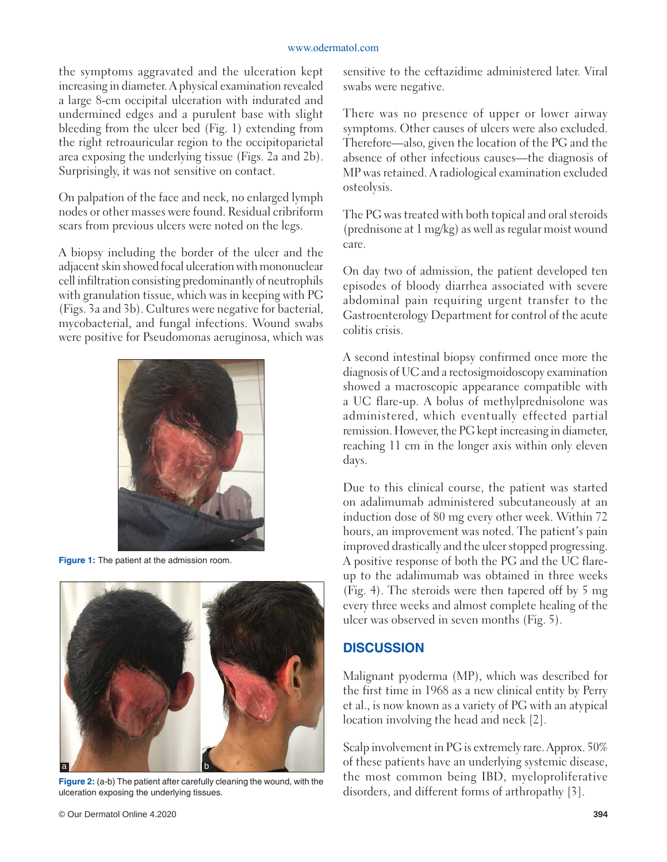#### www.odermatol.com

the symptoms aggravated and the ulceration kept increasing in diameter. A physical examination revealed a large 8-cm occipital ulceration with indurated and undermined edges and a purulent base with slight bleeding from the ulcer bed (Fig. 1) extending from the right retroauricular region to the occipitoparietal area exposing the underlying tissue (Figs. 2a and 2b). Surprisingly, it was not sensitive on contact.

On palpation of the face and neck, no enlarged lymph nodes or other masses were found. Residual cribriform scars from previous ulcers were noted on the legs.

A biopsy including the border of the ulcer and the adjacent skin showed focal ulceration with mononuclear cell infiltration consisting predominantly of neutrophils with granulation tissue, which was in keeping with PG (Figs. 3a and 3b). Cultures were negative for bacterial, mycobacterial, and fungal infections. Wound swabs were positive for Pseudomonas aeruginosa, which was



**Figure 1:** The patient at the admission room.



**Figure 2:** (a-b) The patient after carefully cleaning the wound, with the ulceration exposing the underlying tissues.

sensitive to the ceftazidime administered later. Viral swabs were negative.

There was no presence of upper or lower airway symptoms. Other causes of ulcers were also excluded. Therefore—also, given the location of the PG and the absence of other infectious causes—the diagnosis of MP was retained. A radiological examination excluded osteolysis.

The PG was treated with both topical and oral steroids (prednisone at 1 mg/kg) as well as regular moist wound care.

On day two of admission, the patient developed ten episodes of bloody diarrhea associated with severe abdominal pain requiring urgent transfer to the Gastroenterology Department for control of the acute colitis crisis.

A second intestinal biopsy confirmed once more the diagnosis of UC and a rectosigmoidoscopy examination showed a macroscopic appearance compatible with a UC flare-up. A bolus of methylprednisolone was administered, which eventually effected partial remission. However, the PG kept increasing in diameter, reaching 11 cm in the longer axis within only eleven days.

Due to this clinical course, the patient was started on adalimumab administered subcutaneously at an induction dose of 80 mg every other week. Within 72 hours, an improvement was noted. The patient's pain improved drastically and the ulcer stopped progressing. A positive response of both the PG and the UC flareup to the adalimumab was obtained in three weeks (Fig. 4). The steroids were then tapered off by 5 mg every three weeks and almost complete healing of the ulcer was observed in seven months (Fig. 5).

## **DISCUSSION**

Malignant pyoderma (MP), which was described for the first time in 1968 as a new clinical entity by Perry et al., is now known as a variety of PG with an atypical location involving the head and neck [2].

Scalp involvement in PG is extremely rare. Approx. 50% of these patients have an underlying systemic disease, the most common being IBD, myeloproliferative disorders, and different forms of arthropathy [3].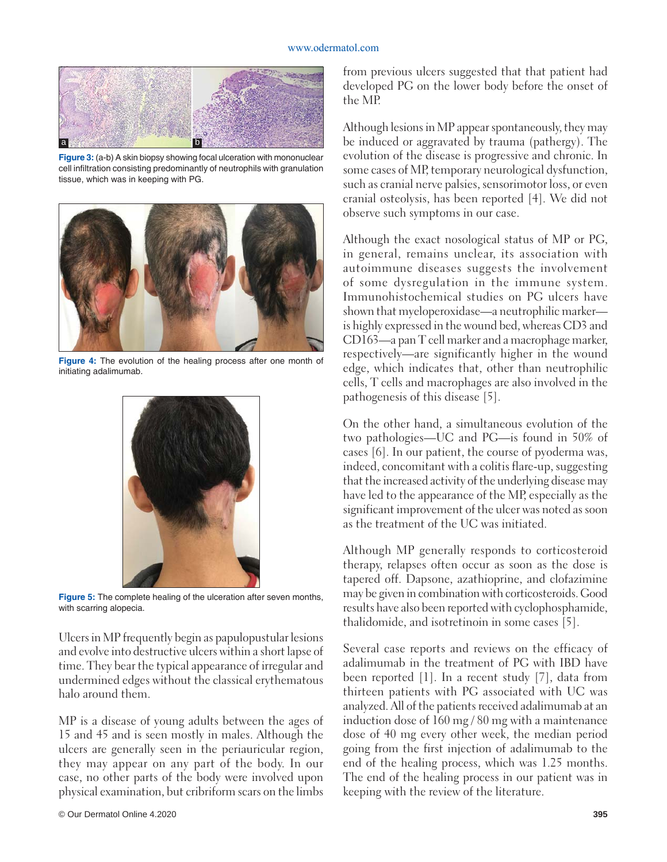#### www.odermatol.com



**Figure 3:** (a-b) A skin biopsy showing focal ulceration with mononuclear cell infiltration consisting predominantly of neutrophils with granulation tissue, which was in keeping with PG.



**Figure 4:** The evolution of the healing process after one month of initiating adalimumab.



**Figure 5:** The complete healing of the ulceration after seven months, with scarring alopecia.

Ulcers in MP frequently begin as papulopustular lesions and evolve into destructive ulcers within a short lapse of time. They bear the typical appearance of irregular and undermined edges without the classical erythematous halo around them.

MP is a disease of young adults between the ages of 15 and 45 and is seen mostly in males. Although the ulcers are generally seen in the periauricular region, they may appear on any part of the body. In our case, no other parts of the body were involved upon physical examination, but cribriform scars on the limbs from previous ulcers suggested that that patient had developed PG on the lower body before the onset of the MP.

Although lesions in MP appear spontaneously, they may be induced or aggravated by trauma (pathergy). The evolution of the disease is progressive and chronic. In some cases of MP, temporary neurological dysfunction, such as cranial nerve palsies, sensorimotor loss, or even cranial osteolysis, has been reported [4]. We did not observe such symptoms in our case.

Although the exact nosological status of MP or PG, in general, remains unclear, its association with autoimmune diseases suggests the involvement of some dysregulation in the immune system. Immunohistochemical studies on PG ulcers have shown that myeloperoxidase—a neutrophilic marker is highly expressed in the wound bed, whereas CD3 and CD163—a pan T cell marker and a macrophage marker, respectively—are significantly higher in the wound edge, which indicates that, other than neutrophilic cells, T cells and macrophages are also involved in the pathogenesis of this disease [5].

On the other hand, a simultaneous evolution of the two pathologies—UC and PG—is found in 50% of cases [6]. In our patient, the course of pyoderma was, indeed, concomitant with a colitis flare-up, suggesting that the increased activity of the underlying disease may have led to the appearance of the MP, especially as the significant improvement of the ulcer was noted as soon as the treatment of the UC was initiated.

Although MP generally responds to corticosteroid therapy, relapses often occur as soon as the dose is tapered off. Dapsone, azathioprine, and clofazimine may be given in combination with corticosteroids. Good results have also been reported with cyclophosphamide, thalidomide, and isotretinoin in some cases [5].

Several case reports and reviews on the efficacy of adalimumab in the treatment of PG with IBD have been reported [1]. In a recent study [7], data from thirteen patients with PG associated with UC was analyzed. All of the patients received adalimumab at an induction dose of 160 mg / 80 mg with a maintenance dose of 40 mg every other week, the median period going from the first injection of adalimumab to the end of the healing process, which was 1.25 months. The end of the healing process in our patient was in keeping with the review of the literature.